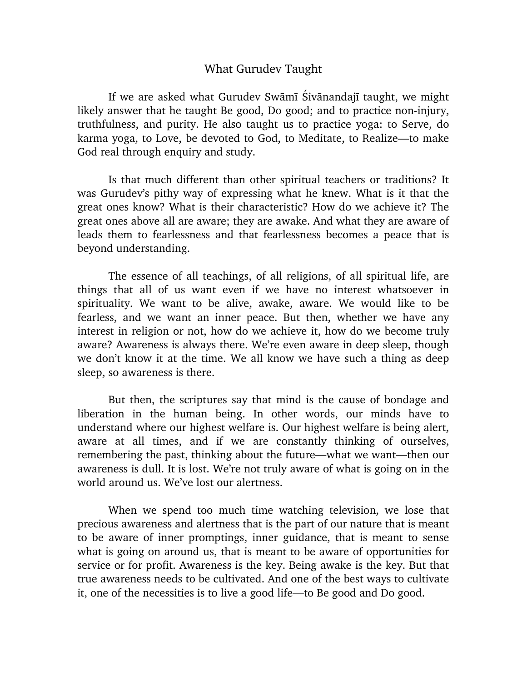## What Gurudev Taught

If we are asked what Gurudev Swāmī Śivānandajī taught, we might likely answer that he taught Be good, Do good; and to practice non-injury, truthfulness, and purity. He also taught us to practice yoga: to Serve, do karma yoga, to Love, be devoted to God, to Meditate, to Realize—to make God real through enquiry and study.

Is that much different than other spiritual teachers or traditions? It was Gurudev's pithy way of expressing what he knew. What is it that the great ones know? What is their characteristic? How do we achieve it? The great ones above all are aware; they are awake. And what they are aware of leads them to fearlessness and that fearlessness becomes a peace that is beyond understanding.

The essence of all teachings, of all religions, of all spiritual life, are things that all of us want even if we have no interest whatsoever in spirituality. We want to be alive, awake, aware. We would like to be fearless, and we want an inner peace. But then, whether we have any interest in religion or not, how do we achieve it, how do we become truly aware? Awareness is always there. We're even aware in deep sleep, though we don't know it at the time. We all know we have such a thing as deep sleep, so awareness is there.

But then, the scriptures say that mind is the cause of bondage and liberation in the human being. In other words, our minds have to understand where our highest welfare is. Our highest welfare is being alert, aware at all times, and if we are constantly thinking of ourselves, remembering the past, thinking about the future—what we want—then our awareness is dull. It is lost. We're not truly aware of what is going on in the world around us. We've lost our alertness.

When we spend too much time watching television, we lose that precious awareness and alertness that is the part of our nature that is meant to be aware of inner promptings, inner guidance, that is meant to sense what is going on around us, that is meant to be aware of opportunities for service or for profit. Awareness is the key. Being awake is the key. But that true awareness needs to be cultivated. And one of the best ways to cultivate it, one of the necessities is to live a good life—to Be good and Do good.